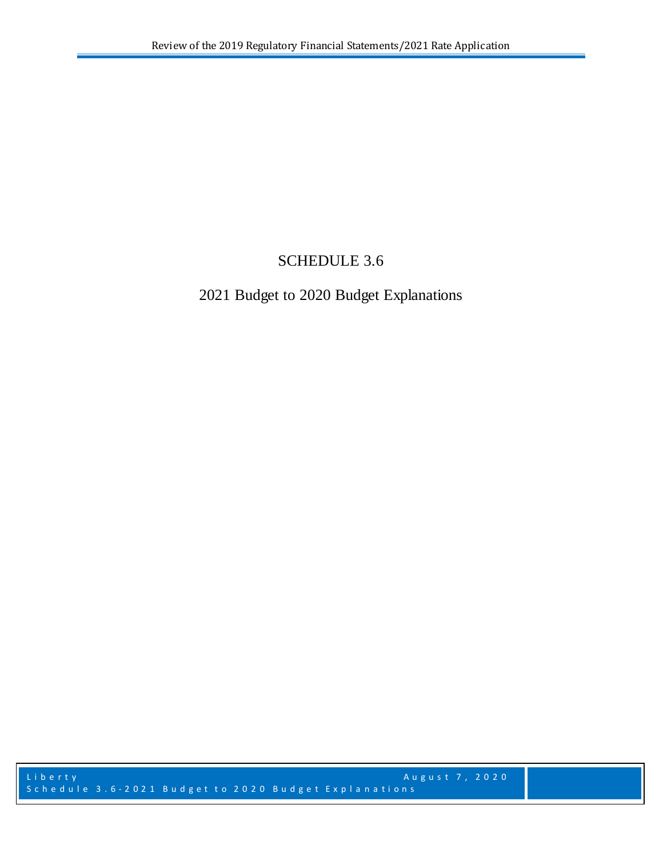# SCHEDULE 3.6

# 2021 Budget to 2020 Budget Explanations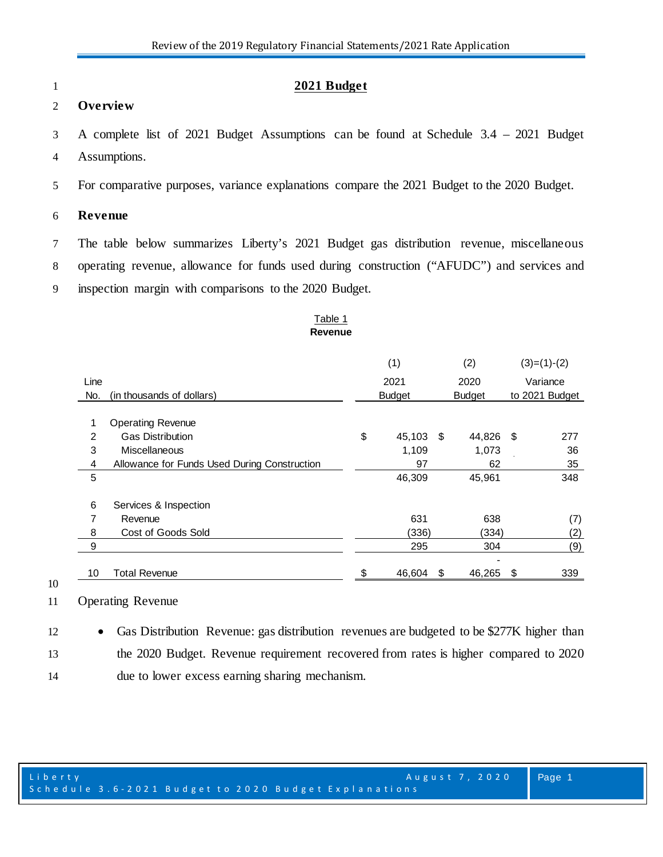#### **2021 Budget**

### **Overview**

 A complete list of 2021 Budget Assumptions can be found at Schedule 3.4 – 2021 Budget Assumptions.

For comparative purposes, variance explanations compare the 2021 Budget to the 2020 Budget.

### **Revenue**

 The table below summarizes Liberty's 2021 Budget gas distribution revenue, miscellaneous operating revenue, allowance for funds used during construction ("AFUDC") and services and

inspection margin with comparisons to the 2020 Budget.

#### Table 1 **Revenue**

|                |                                              | (1)           |      | (2)           |     | $(3)=(1)-(2)$  |
|----------------|----------------------------------------------|---------------|------|---------------|-----|----------------|
| Line           |                                              | 2021          |      | 2020          |     | Variance       |
| No.            | (in thousands of dollars)                    | <b>Budget</b> |      | <b>Budget</b> |     | to 2021 Budget |
| 1              | <b>Operating Revenue</b>                     |               |      |               |     |                |
| $\mathfrak{p}$ | <b>Gas Distribution</b>                      | \$<br>45,103  | - \$ | 44,826        | -\$ | 277            |
| 3              | Miscellaneous                                | 1,109         |      | 1,073         |     | 36             |
| 4              | Allowance for Funds Used During Construction | 97            |      | 62            |     | 35             |
| 5              |                                              | 46,309        |      | 45,961        |     | 348            |
| 6              | Services & Inspection                        |               |      |               |     |                |
| 7              | Revenue                                      | 631           |      | 638           |     | (7)            |
| 8              | Cost of Goods Sold                           | (336)         |      | (334)         |     | (2)            |
| 9              |                                              | 295           |      | 304           |     | (9)            |
|                |                                              |               |      |               |     |                |
| 10             | Total Revenue                                | \$<br>46,604  | \$   | 46,265        | S   | 339            |

Operating Revenue

 • Gas Distribution Revenue: gas distribution revenues are budgeted to be \$277K higher than the 2020 Budget. Revenue requirement recovered from rates is higher compared to 2020 due to lower excess earning sharing mechanism.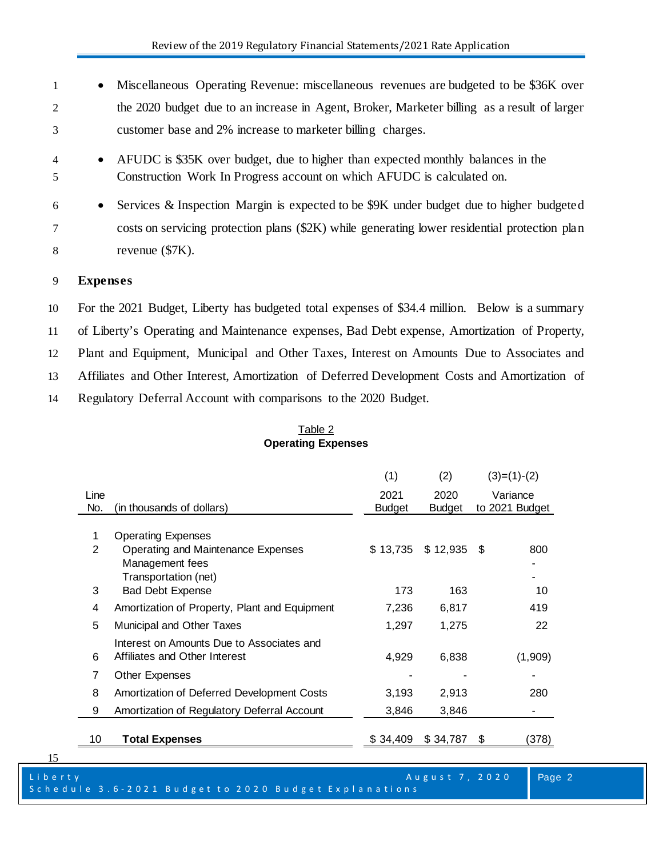- Miscellaneous Operating Revenue: miscellaneous revenues are budgeted to be \$36K over the 2020 budget due to an increase in Agent, Broker, Marketer billing as a result of larger customer base and 2% increase to marketer billing charges.
- AFUDC is \$35K over budget, due to higher than expected monthly balances in the Construction Work In Progress account on which AFUDC is calculated on.
- Services & Inspection Margin is expected to be \$9K under budget due to higher budgeted costs on servicing protection plans (\$2K) while generating lower residential protection plan revenue (\$7K).

### **Expenses**

 For the 2021 Budget, Liberty has budgeted total expenses of \$34.4 million. Below is a summary of Liberty's Operating and Maintenance expenses, Bad Debt expense, Amortization of Property, Plant and Equipment, Municipal and Other Taxes, Interest on Amounts Due to Associates and Affiliates and Other Interest, Amortization of Deferred Development Costs and Amortization of Regulatory Deferral Account with comparisons to the 2020 Budget.

|      |                                               | (1)           | (2)           |     | $(3)=(1)-(2)$  |
|------|-----------------------------------------------|---------------|---------------|-----|----------------|
| Line |                                               | 2021          | 2020          |     | Variance       |
| No.  | (in thousands of dollars)                     | <b>Budget</b> | <b>Budget</b> |     | to 2021 Budget |
| 1    | <b>Operating Expenses</b>                     |               |               |     |                |
| 2    | Operating and Maintenance Expenses            | \$13,735      | \$12,935      | \$. | 800            |
|      | Management fees<br>Transportation (net)       |               |               |     |                |
| 3    | <b>Bad Debt Expense</b>                       | 173           | 163           |     | 10             |
| 4    | Amortization of Property, Plant and Equipment | 7,236         | 6,817         |     | 419            |
| 5    | Municipal and Other Taxes                     | 1,297         | 1,275         |     | 22             |
|      | Interest on Amounts Due to Associates and     |               |               |     |                |
| 6    | Affiliates and Other Interest                 | 4,929         | 6,838         |     | (1,909)        |
| 7    | <b>Other Expenses</b>                         |               |               |     |                |
| 8    | Amortization of Deferred Development Costs    | 3,193         | 2,913         |     | 280            |
| 9    | Amortization of Regulatory Deferral Account   | 3,846         | 3,846         |     |                |
|      |                                               |               |               |     |                |
| 10   | <b>Total Expenses</b>                         | \$34,409      | \$34,787      | S   | (378)          |

## Table 2 **Operating Expenses**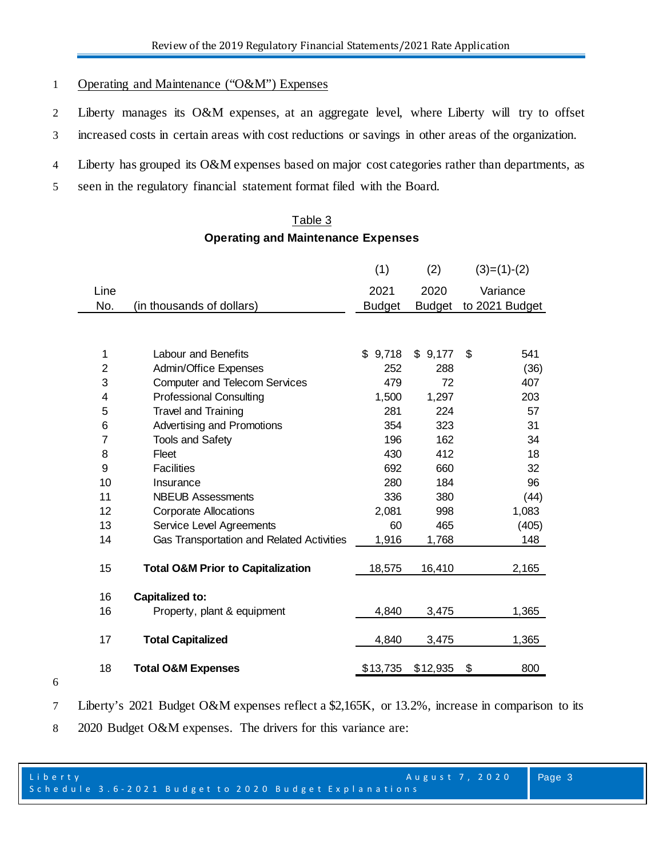## Operating and Maintenance ("O&M") Expenses

- Liberty manages its O&M expenses, at an aggregate level, where Liberty will try to offset
- increased costs in certain areas with cost reductions or savings in other areas of the organization.
- Liberty has grouped its O&M expenses based on major cost categories rather than departments, as
- seen in the regulatory financial statement format filed with the Board.

# Table 3 **Operating and Maintenance Expenses**

|                |                                              | (1)           | (2)           | $(3)=(1)-(2)$  |
|----------------|----------------------------------------------|---------------|---------------|----------------|
| Line           |                                              | 2021          | 2020          | Variance       |
| No.            | (in thousands of dollars)                    | <b>Budget</b> | <b>Budget</b> | to 2021 Budget |
|                |                                              |               |               |                |
| 1              | Labour and Benefits                          | \$<br>9,718   | 9,177<br>\$   | \$<br>541      |
| $\overline{2}$ | Admin/Office Expenses                        | 252           | 288           | (36)           |
| 3              | <b>Computer and Telecom Services</b>         | 479           | 72            | 407            |
| 4              | <b>Professional Consulting</b>               | 1,500         | 1,297         | 203            |
| 5              | <b>Travel and Training</b>                   | 281           | 224           | 57             |
| 6              | Advertising and Promotions                   | 354           | 323           | 31             |
| 7              | <b>Tools and Safety</b>                      | 196           | 162           | 34             |
| 8              | Fleet                                        | 430           | 412           | 18             |
| 9              | <b>Facilities</b>                            | 692           | 660           | 32             |
| 10             | Insurance                                    | 280           | 184           | 96             |
| 11             | <b>NBEUB Assessments</b>                     | 336           | 380           | (44)           |
| 12             | <b>Corporate Allocations</b>                 | 2,081         | 998           | 1,083          |
| 13             | Service Level Agreements                     | 60            | 465           | (405)          |
| 14             | Gas Transportation and Related Activities    | 1,916         | 1,768         | 148            |
| 15             | <b>Total O&amp;M Prior to Capitalization</b> | 18,575        | 16,410        | 2,165          |
|                |                                              |               |               |                |
| 16             | <b>Capitalized to:</b>                       |               |               |                |
| 16             | Property, plant & equipment                  | 4,840         | 3,475         | 1,365          |
| 17             | <b>Total Capitalized</b>                     | 4,840         | 3,475         | 1,365          |
| 18             | <b>Total O&amp;M Expenses</b>                | \$13,735      | \$12,935      | \$<br>800      |

Liberty's 2021 Budget O&M expenses reflect a \$2,165K, or 13.2%, increase in comparison to its

2020 Budget O&M expenses. The drivers for this variance are: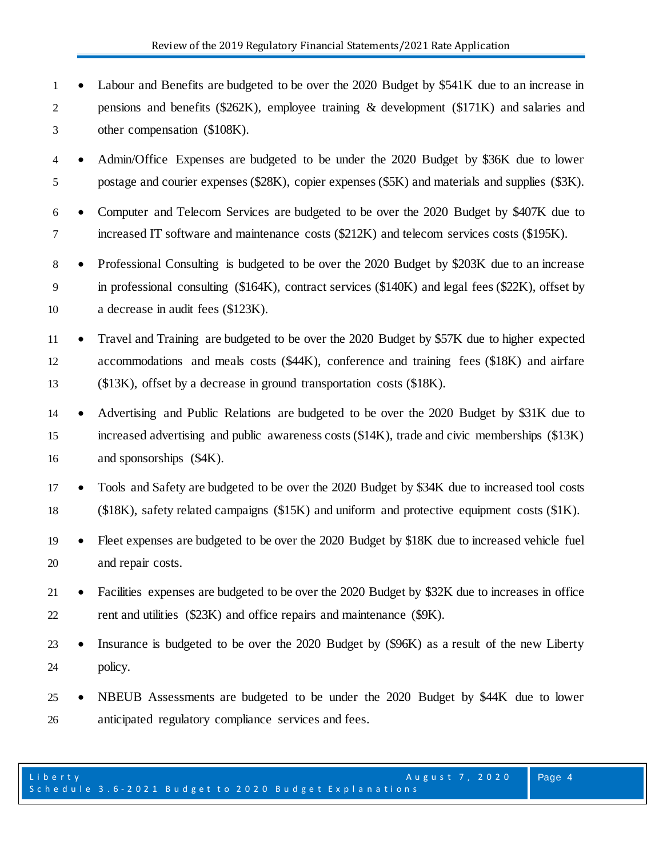- Labour and Benefits are budgeted to be over the 2020 Budget by \$541K due to an increase in pensions and benefits (\$262K), employee training & development (\$171K) and salaries and other compensation (\$108K).
- Admin/Office Expenses are budgeted to be under the 2020 Budget by \$36K due to lower postage and courier expenses (\$28K), copier expenses (\$5K) and materials and supplies (\$3K).
- Computer and Telecom Services are budgeted to be over the 2020 Budget by \$407K due to increased IT software and maintenance costs (\$212K) and telecom services costs (\$195K).
- Professional Consulting is budgeted to be over the 2020 Budget by \$203K due to an increase in professional consulting (\$164K), contract services (\$140K) and legal fees (\$22K), offset by a decrease in audit fees (\$123K).
- Travel and Training are budgeted to be over the 2020 Budget by \$57K due to higher expected accommodations and meals costs (\$44K), conference and training fees (\$18K) and airfare (\$13K), offset by a decrease in ground transportation costs (\$18K).
- Advertising and Public Relations are budgeted to be over the 2020 Budget by \$31K due to increased advertising and public awareness costs (\$14K), trade and civic memberships (\$13K) and sponsorships (\$4K).
- Tools and Safety are budgeted to be over the 2020 Budget by \$34K due to increased tool costs (\$18K), safety related campaigns (\$15K) and uniform and protective equipment costs (\$1K).
- Fleet expenses are budgeted to be over the 2020 Budget by \$18K due to increased vehicle fuel and repair costs.
- Facilities expenses are budgeted to be over the 2020 Budget by \$32K due to increases in office rent and utilities (\$23K) and office repairs and maintenance (\$9K).
- Insurance is budgeted to be over the 2020 Budget by (\$96K) as a result of the new Liberty policy.
- NBEUB Assessments are budgeted to be under the 2020 Budget by \$44K due to lower anticipated regulatory compliance services and fees.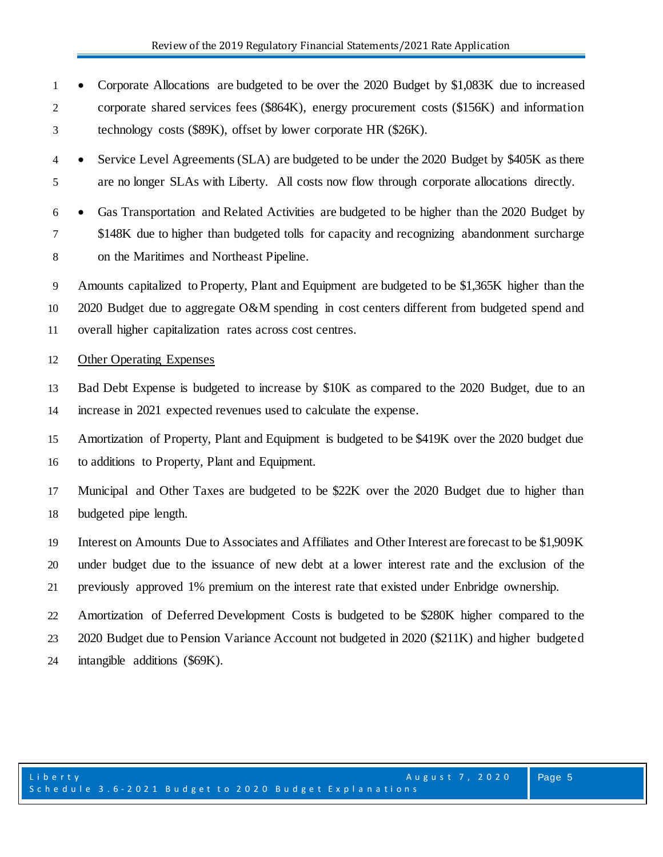• Corporate Allocations are budgeted to be over the 2020 Budget by \$1,083K due to increased corporate shared services fees (\$864K), energy procurement costs (\$156K) and information technology costs (\$89K), offset by lower corporate HR (\$26K).

- Service Level Agreements (SLA) are budgeted to be under the 2020 Budget by \$405K as there are no longer SLAs with Liberty. All costs now flow through corporate allocations directly.
- Gas Transportation and Related Activities are budgeted to be higher than the 2020 Budget by \$148K due to higher than budgeted tolls for capacity and recognizing abandonment surcharge on the Maritimes and Northeast Pipeline.

 Amounts capitalized to Property, Plant and Equipment are budgeted to be \$1,365K higher than the 2020 Budget due to aggregate O&M spending in cost centers different from budgeted spend and overall higher capitalization rates across cost centres.

### Other Operating Expenses

 Bad Debt Expense is budgeted to increase by \$10K as compared to the 2020 Budget, due to an increase in 2021 expected revenues used to calculate the expense.

 Amortization of Property, Plant and Equipment is budgeted to be \$419K over the 2020 budget due to additions to Property, Plant and Equipment.

 Municipal and Other Taxes are budgeted to be \$22K over the 2020 Budget due to higher than budgeted pipe length.

- Interest on Amounts Due to Associates and Affiliates and Other Interest are forecast to be \$1,909K
- under budget due to the issuance of new debt at a lower interest rate and the exclusion of the
- previously approved 1% premium on the interest rate that existed under Enbridge ownership.
- Amortization of Deferred Development Costs is budgeted to be \$280K higher compared to the

2020 Budget due to Pension Variance Account not budgeted in 2020 (\$211K) and higher budgeted

intangible additions (\$69K).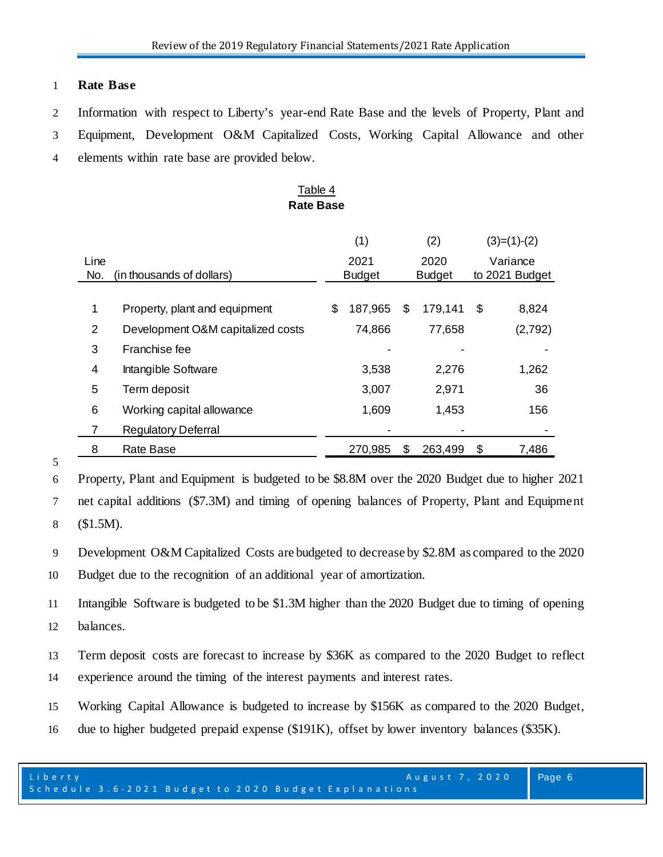### **Rate Base**

- Information with respect to Liberty's year-end Rate Base and the levels of Property, Plant and
- Equipment, Development O&M Capitalized Costs, Working Capital Allowance and other
- elements within rate base are provided below.

Table 4 **Rate Base**

|      |                                   | (1)<br>(2)    |     | $(3)=(1)-(2)$ |    |                |  |
|------|-----------------------------------|---------------|-----|---------------|----|----------------|--|
| Line |                                   | 2021          |     | 2020          |    | Variance       |  |
| No.  | (in thousands of dollars)         | <b>Budget</b> |     | <b>Budget</b> |    | to 2021 Budget |  |
|      |                                   |               |     |               |    |                |  |
| 1    | Property, plant and equipment     | \$<br>187,965 | \$. | 179,141       | \$ | 8,824          |  |
| 2    | Development O&M capitalized costs | 74,866        |     | 77,658        |    | (2,792)        |  |
| 3    | Franchise fee                     |               |     |               |    |                |  |
| 4    | Intangible Software               | 3,538         |     | 2,276         |    | 1,262          |  |
| 5    | Term deposit                      | 3,007         |     | 2,971         |    | 36             |  |
| 6    | Working capital allowance         | 1,609         |     | 1,453         |    | 156            |  |
|      | <b>Regulatory Deferral</b>        |               |     |               |    |                |  |
| 8    | Rate Base                         | 270,985       | Ъ   | 263,499       |    | 7,486          |  |

 Property, Plant and Equipment is budgeted to be \$8.8M over the 2020 Budget due to higher 2021 net capital additions (\$7.3M) and timing of opening balances of Property, Plant and Equipment (\$1.5M).

 Development O&M Capitalized Costs are budgeted to decrease by \$2.8M as compared to the 2020 Budget due to the recognition of an additional year of amortization.

 Intangible Software is budgeted to be \$1.3M higher than the 2020 Budget due to timing of opening balances.

 Term deposit costs are forecast to increase by \$36K as compared to the 2020 Budget to reflect experience around the timing of the interest payments and interest rates.

- Working Capital Allowance is budgeted to increase by \$156K as compared to the 2020 Budget,
- due to higher budgeted prepaid expense (\$191K), offset by lower inventory balances (\$35K).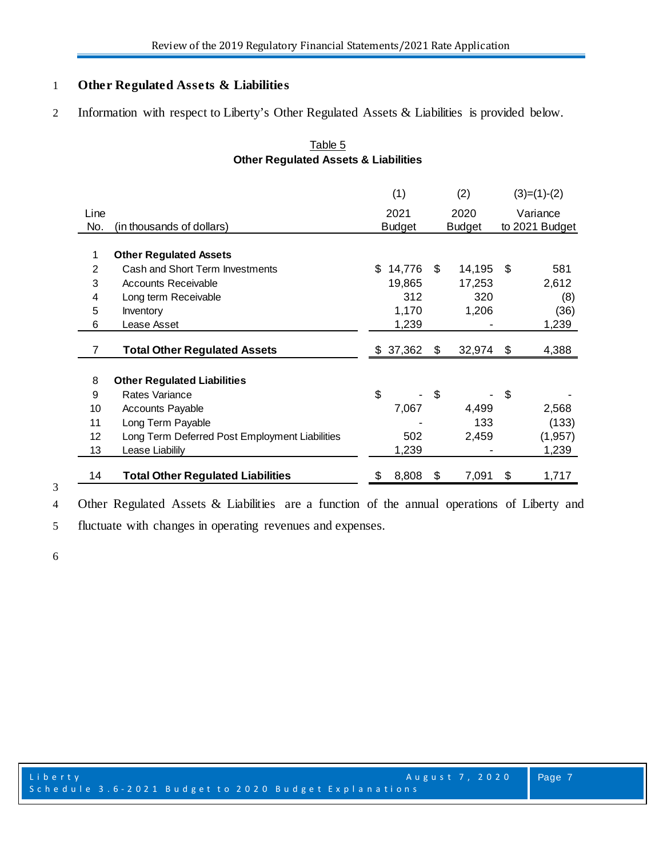# **Other Regulated Assets & Liabilities**

Information with respect to Liberty's Other Regulated Assets & Liabilities is provided below.

|                   |                                                | (1)<br>(2)    |     | $(3)=(1)-(2)$ |    |                |
|-------------------|------------------------------------------------|---------------|-----|---------------|----|----------------|
| Line              |                                                | 2021          |     | 2020          |    | Variance       |
| No.               | (in thousands of dollars)                      | <b>Budget</b> |     | <b>Budget</b> |    | to 2021 Budget |
|                   |                                                |               |     |               |    |                |
| 1                 | <b>Other Regulated Assets</b>                  |               |     |               |    |                |
| $\overline{2}$    | Cash and Short Term Investments                | \$<br>14,776  | \$. | 14,195        | \$ | 581            |
| 3                 | <b>Accounts Receivable</b>                     | 19,865        |     | 17,253        |    | 2,612          |
| 4                 | Long term Receivable                           | 312           |     | 320           |    | (8)            |
| 5                 | Inventory                                      | 1,170         |     | 1,206         |    | (36)           |
| 6                 | Lease Asset                                    | 1,239         |     |               |    | 1,239          |
| $\overline{7}$    | <b>Total Other Regulated Assets</b>            | \$37,362      | \$  | 32,974        | \$ | 4,388          |
| 8                 | <b>Other Regulated Liabilities</b>             |               |     |               |    |                |
| 9                 | Rates Variance                                 | \$            | \$  |               | \$ |                |
| 10                | <b>Accounts Payable</b>                        | 7,067         |     | 4,499         |    | 2,568          |
| 11                | Long Term Payable                              |               |     | 133           |    | (133)          |
| $12 \overline{ }$ | Long Term Deferred Post Employment Liabilities | 502           |     | 2,459         |    | (1, 957)       |
| 13                | Lease Liabilily                                | 1,239         |     |               |    | 1,239          |
| 14                | <b>Total Other Regulated Liabilities</b>       | \$<br>8,808   | \$  | 7,091         | \$ | 1,717          |

# Table 5 **Other Regulated Assets & Liabilities**

## 

Other Regulated Assets & Liabilities are a function of the annual operations of Liberty and

fluctuate with changes in operating revenues and expenses.